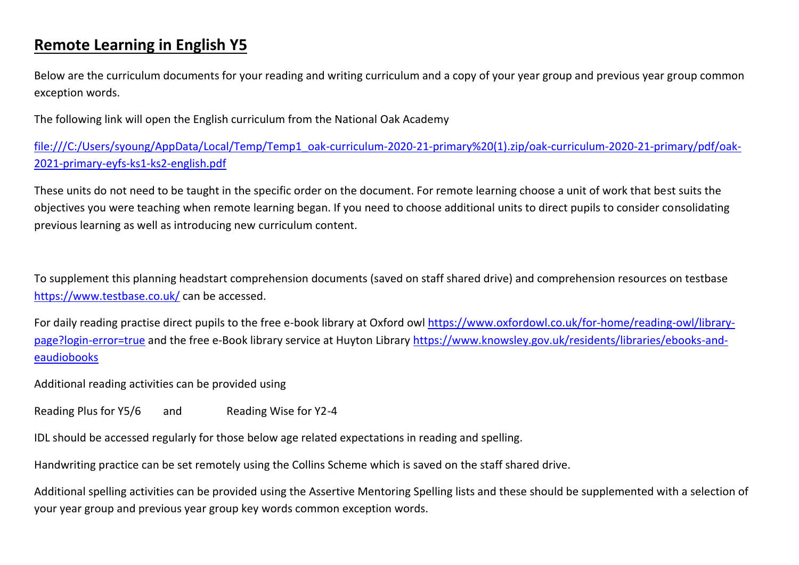## **Remote Learning in English Y5**

Below are the curriculum documents for your reading and writing curriculum and a copy of your year group and previous year group common exception words.

The following link will open the English curriculum from the National Oak Academy

[file:///C:/Users/syoung/AppData/Local/Temp/Temp1\\_oak-curriculum-2020-21-primary%20\(1\).zip/oak-curriculum-2020-21-primary/pdf/oak-](file:///C:/Users/syoung/AppData/Local/Temp/Temp1_oak-curriculum-2020-21-primary%20(1).zip/oak-curriculum-2020-21-primary/pdf/oak-2021-primary-eyfs-ks1-ks2-english.pdf)[2021-primary-eyfs-ks1-ks2-english.pdf](file:///C:/Users/syoung/AppData/Local/Temp/Temp1_oak-curriculum-2020-21-primary%20(1).zip/oak-curriculum-2020-21-primary/pdf/oak-2021-primary-eyfs-ks1-ks2-english.pdf)

These units do not need to be taught in the specific order on the document. For remote learning choose a unit of work that best suits the objectives you were teaching when remote learning began. If you need to choose additional units to direct pupils to consider consolidating previous learning as well as introducing new curriculum content.

To supplement this planning headstart comprehension documents (saved on staff shared drive) and comprehension resources on testbase <https://www.testbase.co.uk/> can be accessed.

For daily reading practise direct pupils to the free e-book library at Oxford owl [https://www.oxfordowl.co.uk/for-home/reading-owl/library](https://www.oxfordowl.co.uk/for-home/reading-owl/library-page?login-error=true)[page?login-error=true](https://www.oxfordowl.co.uk/for-home/reading-owl/library-page?login-error=true) and the free e-Book library service at Huyton Library [https://www.knowsley.gov.uk/residents/libraries/ebooks-and](https://www.knowsley.gov.uk/residents/libraries/ebooks-and-eaudiobooks)[eaudiobooks](https://www.knowsley.gov.uk/residents/libraries/ebooks-and-eaudiobooks)

Additional reading activities can be provided using

Reading Plus for Y5/6 and Reading Wise for Y2-4

IDL should be accessed regularly for those below age related expectations in reading and spelling.

Handwriting practice can be set remotely using the Collins Scheme which is saved on the staff shared drive.

Additional spelling activities can be provided using the Assertive Mentoring Spelling lists and these should be supplemented with a selection of your year group and previous year group key words common exception words.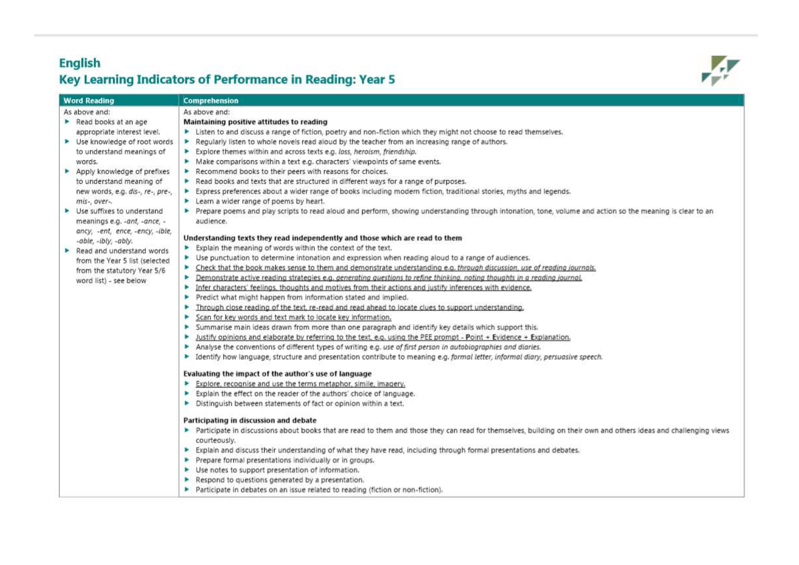## **English** Key Learning Indicators of Performance in Reading: Year 5



| <b>Word Reading</b> |                                                  | Comprehension                                                                                                                                                        |
|---------------------|--------------------------------------------------|----------------------------------------------------------------------------------------------------------------------------------------------------------------------|
|                     | As above and:                                    | As above and:                                                                                                                                                        |
|                     | Read books at an age                             | Maintaining positive attitudes to reading                                                                                                                            |
|                     | appropriate interest level.                      | > Listen to and discuss a range of fiction, poetry and non-fiction which they might not choose to read themselves.                                                   |
|                     | ▶ Use knowledge of root words                    | Regularly listen to whole novels read aloud by the teacher from an increasing range of authors.                                                                      |
|                     | to understand meanings of                        | > Explore themes within and across texts e.g. loss, heroism, friendship.                                                                                             |
|                     | words.                                           | Make comparisons within a text e.g. characters' viewpoints of same events.                                                                                           |
|                     | Apply knowledge of prefixes                      | Recommend books to their peers with reasons for choices.                                                                                                             |
|                     | to understand meaning of                         | Read books and texts that are structured in different ways for a range of purposes.                                                                                  |
|                     | new words, e.g. dis-, re-, pre-,                 | Express preferences about a wider range of books including modern fiction, traditional stories, myths and legends.                                                   |
|                     | mis-, over-,                                     | Learn a wider range of poems by heart.                                                                                                                               |
|                     | $\blacktriangleright$ Use suffixes to understand | Prepare poems and play scripts to read aloud and perform, showing understanding through intonation, tone, volume and action so the meaning is clear to an            |
|                     | meanings e.g. - ant, - ance, -                   | audience.                                                                                                                                                            |
|                     | ancy, -ent, ence, -ency, -ible,                  |                                                                                                                                                                      |
|                     | -able, -ibly, -ably.                             | Understanding texts they read independently and those which are read to them                                                                                         |
|                     | $\blacktriangleright$ Read and understand words  | Explain the meaning of words within the context of the text.                                                                                                         |
|                     | from the Year 5 list (selected                   | > Use punctuation to determine intonation and expression when reading aloud to a range of audiences.                                                                 |
|                     | from the statutory Year 5/6                      | > Check that the book makes sense to them and demonstrate understanding e.g. through discussion, use of reading journals.                                            |
|                     | word list) - see below                           | Demonstrate active reading strategies e.g. generating questions to refine thinking, noting thoughts in a reading journal.<br>►                                       |
|                     |                                                  | Infer characters' feelings, thoughts and motives from their actions and justify inferences with evidence.<br>٠                                                       |
|                     |                                                  | Predict what might happen from information stated and implied.<br>×                                                                                                  |
|                     |                                                  | Through close reading of the text, re-read and read ahead to locate clues to support understanding.<br>٠                                                             |
|                     |                                                  | Scan for key words and text mark to locate key information.<br>٠                                                                                                     |
|                     |                                                  | Summarise main ideas drawn from more than one paragraph and identify key details which support this.<br>۰                                                            |
|                     |                                                  | Justify opinions and elaborate by referring to the text, e.g. using the PEE prompt - Point + Evidence + Explanation.<br>ь                                            |
|                     |                                                  | Analyse the conventions of different types of writing e.g. use of first person in autobiographies and diaries.<br>×                                                  |
|                     |                                                  | > Identify how language, structure and presentation contribute to meaning e.g. formal letter, informal diary, persuasive speech.                                     |
|                     |                                                  | Evaluating the impact of the author's use of language                                                                                                                |
|                     |                                                  | Explore, recognise and use the terms metaphor, simile, imagery,<br>r                                                                                                 |
|                     |                                                  | Explain the effect on the reader of the authors' choice of language.                                                                                                 |
|                     |                                                  | Distinguish between statements of fact or opinion within a text.                                                                                                     |
|                     |                                                  |                                                                                                                                                                      |
|                     |                                                  | Participating in discussion and debate                                                                                                                               |
|                     |                                                  | > Participate in discussions about books that are read to them and those they can read for themselves, building on their own and others ideas and challenging views. |
|                     |                                                  | courteously.                                                                                                                                                         |
|                     |                                                  | Explain and discuss their understanding of what they have read, including through formal presentations and debates.                                                  |
|                     |                                                  | Prepare formal presentations individually or in groups.                                                                                                              |
|                     |                                                  | ▶ Use notes to support presentation of information.                                                                                                                  |
|                     |                                                  | Respond to questions generated by a presentation.                                                                                                                    |
|                     |                                                  | Participate in debates on an issue related to reading (fiction or non-fiction).                                                                                      |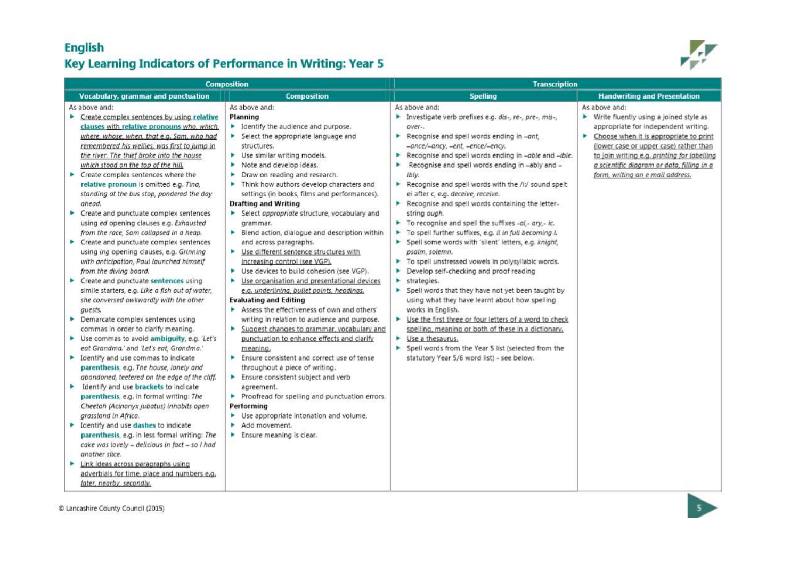## **English Key Learning Indicators of Performance in Writing: Year 5**



|   |                                                                                                                                                                                                                                                                                                                                                                                                                                     | <b>Composition</b>                                                                                                                                                                                                                                                                                                                                                                           | <b>Transcription</b>                                                                                                                                                                                                                                                                                                                                                                                                                         |                                                                                                                                                                                                                                                                                                                             |
|---|-------------------------------------------------------------------------------------------------------------------------------------------------------------------------------------------------------------------------------------------------------------------------------------------------------------------------------------------------------------------------------------------------------------------------------------|----------------------------------------------------------------------------------------------------------------------------------------------------------------------------------------------------------------------------------------------------------------------------------------------------------------------------------------------------------------------------------------------|----------------------------------------------------------------------------------------------------------------------------------------------------------------------------------------------------------------------------------------------------------------------------------------------------------------------------------------------------------------------------------------------------------------------------------------------|-----------------------------------------------------------------------------------------------------------------------------------------------------------------------------------------------------------------------------------------------------------------------------------------------------------------------------|
|   | Vocabulary, grammar and punctuation                                                                                                                                                                                                                                                                                                                                                                                                 | <b>Composition</b>                                                                                                                                                                                                                                                                                                                                                                           | <b>Spelling</b>                                                                                                                                                                                                                                                                                                                                                                                                                              | <b>Handwriting and Presentation</b>                                                                                                                                                                                                                                                                                         |
| ٠ | As above and:<br>Create complex sentences by using relative<br>clauses with relative pronouns who, which,<br>where, whose, when, that e.g. Sam, who had<br>remembered his wellies, was first to jump in<br>the river. The thief broke into the house<br>which stood on the top of the hill.<br>Create complex sentences where the<br>relative pronoun is omitted e.g. Tina,<br>standing at the bus stop, pondered the day<br>ahead. | As above and:<br>Planning<br>• Identify the audience and purpose.<br>Select the appropriate language and<br>structures.<br>> Use similar writing models.<br>Note and develop ideas.<br>p.<br>Draw on reading and research.<br>y.<br>Think how authors develop characters and<br>settings (in books, films and performances).<br><b>Drafting and Writing</b>                                  | As above and:<br>Investigate verb prefixes e.g. dis-, re-, pre-, mis-,<br>over-.<br>Recognise and spell words ending in -ant,<br>-ance/-ancy, -ent, -ence/-ency.<br>Recognise and spell words ending in -able and -ible.<br>Recognise and spell words ending in --ably and --<br>۰<br>ibly.<br>Recognise and spell words with the /i:/ sound spelt<br>ei after c, e.g. deceive, receive.<br>Recognise and spell words containing the letter- | As above and:<br>▶ Write fluently using a joined style as<br>appropriate for independent writing.<br>٠<br>Choose when it is appropriate to print<br>(lower case or upper case) rather than<br>to join writing e.g. printing for labelling<br>a scientific diagram or data, filling in a<br>form, writing an e mail address. |
|   | Create and punctuate complex sentences<br>using ed opening clauses e.g. Exhausted<br>from the race, Sam collapsed in a heap.<br>Create and punctuate complex sentences<br>using ing opening clauses, e.g. Grinning<br>with anticipation, Paul launched himself<br>from the diving board.<br>Create and punctuate sentences using<br>simile starters, e.g. Like a fish out of water,<br>she conversed awkwardly with the other       | Select appropriate structure, vocabulary and<br>grammar.<br>Blend action, dialogue and description within<br>and across paragraphs.<br>▶ Use different sentence structures with<br>increasing control (see VGP).<br>• Use devices to build cohesion (see VGP).<br>Use organisation and presentational devices<br>e.g. underlining, bullet points, headings.<br><b>Evaluating and Editing</b> | string ough.<br>To recognise and spell the suffixes -al,- ary,- ic.<br>To spell further suffixes, e.g. Il in full becoming L<br>> Spell some words with 'silent' letters, e.g. knight,<br>psalm, solemn.<br>To spell unstressed vowels in polysyllabic words.<br>Develop self-checking and proof reading<br>▶<br>strategies.<br>Þ.<br>Spell words that they have not yet been taught by<br>using what they have learnt about how spelling    |                                                                                                                                                                                                                                                                                                                             |
| Þ | guests.<br>Demarcate complex sentences using<br>commas in order to clarify meaning.<br>> Use commas to avoid ambiguity, e.g. 'Let's<br>eat Grandma.' and 'Let's eat, Grandma.'<br>Identify and use commas to indicate<br>parenthesis, e.g. The house, lonely and                                                                                                                                                                    | Assess the effectiveness of own and others'<br>writing in relation to audience and purpose.<br>×.<br>Suggest changes to grammar, vocabulary and<br>punctuation to enhance effects and clarify<br>meaning.<br>Ensure consistent and correct use of tense<br>throughout a piece of writing.                                                                                                    | works in English.<br>▶ Use the first three or four letters of a word to check<br>spelling, meaning or both of these in a dictionary.<br>▶ Use a thesaurus.<br>> Spell words from the Year 5 list (selected from the<br>statutory Year 5/6 word list) - see below.                                                                                                                                                                            |                                                                                                                                                                                                                                                                                                                             |
|   | abandoned, teetered on the edge of the cliff.<br>Identify and use brackets to indicate<br>parenthesis, e.g. in formal writing: The<br>Cheetah (Acinonyx jubatus) inhabits open<br>grassland in Africa.<br>Identify and use dashes to indicate<br>parenthesis, e.g. in less formal writing: The<br>cake was lovely - delicious in fact - so I had                                                                                    | Ensure consistent subject and verb<br>agreement.<br>Proofread for spelling and punctuation errors.<br>Performing<br>> Use appropriate intonation and volume.<br>Add movement.<br>Ensure meaning is clear.                                                                                                                                                                                    |                                                                                                                                                                                                                                                                                                                                                                                                                                              |                                                                                                                                                                                                                                                                                                                             |
|   | another slice.<br>Link ideas across paragraphs using<br>adverbials for time, place and numbers e.g.<br>later, nearby, secondly,                                                                                                                                                                                                                                                                                                     |                                                                                                                                                                                                                                                                                                                                                                                              |                                                                                                                                                                                                                                                                                                                                                                                                                                              |                                                                                                                                                                                                                                                                                                                             |

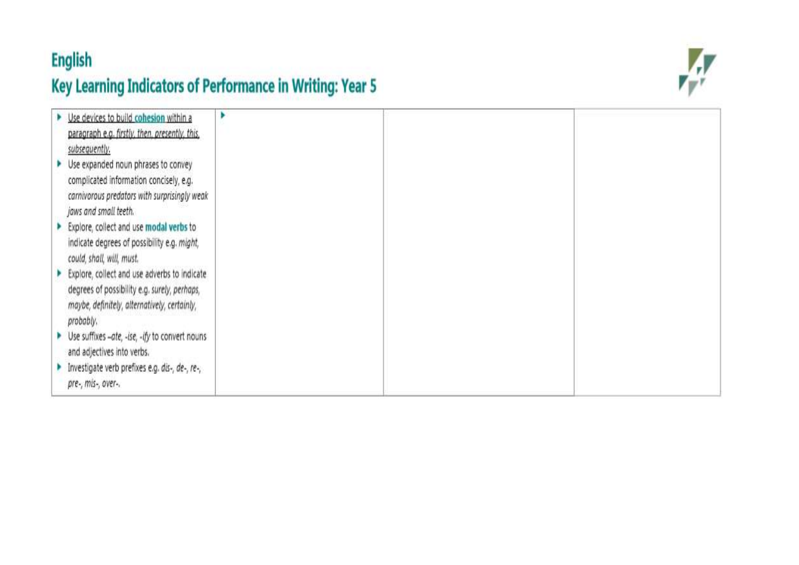## **English** Key Learning Indicators of Performance in Writing: Year 5



| > Use devices to build cohesion within a<br>paragraph e.g. firstly, then, presently, this,<br>subsequently.                                               |  |  |
|-----------------------------------------------------------------------------------------------------------------------------------------------------------|--|--|
| Use expanded noun phrases to convey<br>complicated information concisely, e.g.<br>carnivorous predators with surprisingly weak<br>jaws and small teeth.   |  |  |
| Explore, collect and use modal verbs to<br>indicate degrees of possibility e.g. might,<br>could, shall, will, must.                                       |  |  |
| Explore, collect and use adverbs to indicate<br>degrees of possibility e.g. surely, perhaps,<br>maybe, definitely, alternatively, certainly,<br>probably. |  |  |
| ▶ Use suffixes -ate, -ise, -ify to convert nouns<br>and adjectives into verbs.                                                                            |  |  |
| Investigate verb prefixes e.g. dis-, de-, re-,<br>pre-, mis-, over-.                                                                                      |  |  |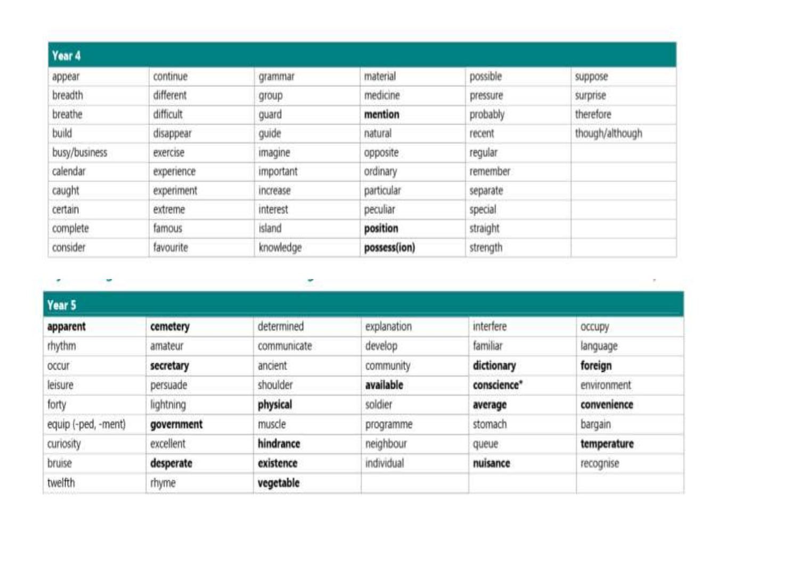| Year 4        |            |                  |              |          |                 |
|---------------|------------|------------------|--------------|----------|-----------------|
| appear        | continue   | grammar          | material     | possible | suppose         |
| breadth       | different  | group            | medicine     | pressure | surprise        |
| breathe       | difficult  | guard            | mention      | probably | therefore       |
| build         | disappear  | guide            | natural      | recent   | though/although |
| busy/business | exercise   | imagine          | opposite     | regular  |                 |
| calendar.     | experience | <i>important</i> | ordinary     | remember |                 |
| caught        | experiment | increase         | particular   | separate |                 |
| certain       | extreme    | interest         | peculiar     | special  |                 |
| complete      | famous     | island           | position     | straight |                 |
| consider      | favourite  | knowledge        | possess(ion) | strength |                 |

 $\mathcal{F}$ Y ۳  $\mathcal{C}$ Year 5 cemetery determined explanation interfere apparent occupy familiar rhythm develop amateur communicate language community dictionary foreign secretary ancient occur persuade shoulder available conscience\* environment leisure forty lightning physical soldier convenience average equip (-ped, -ment) muscle government stomach bargain programme neighbour curiosity excellent hindrance temperature queue bruise desperate existence individual nuisance recognise twelfth vegetable rhyme